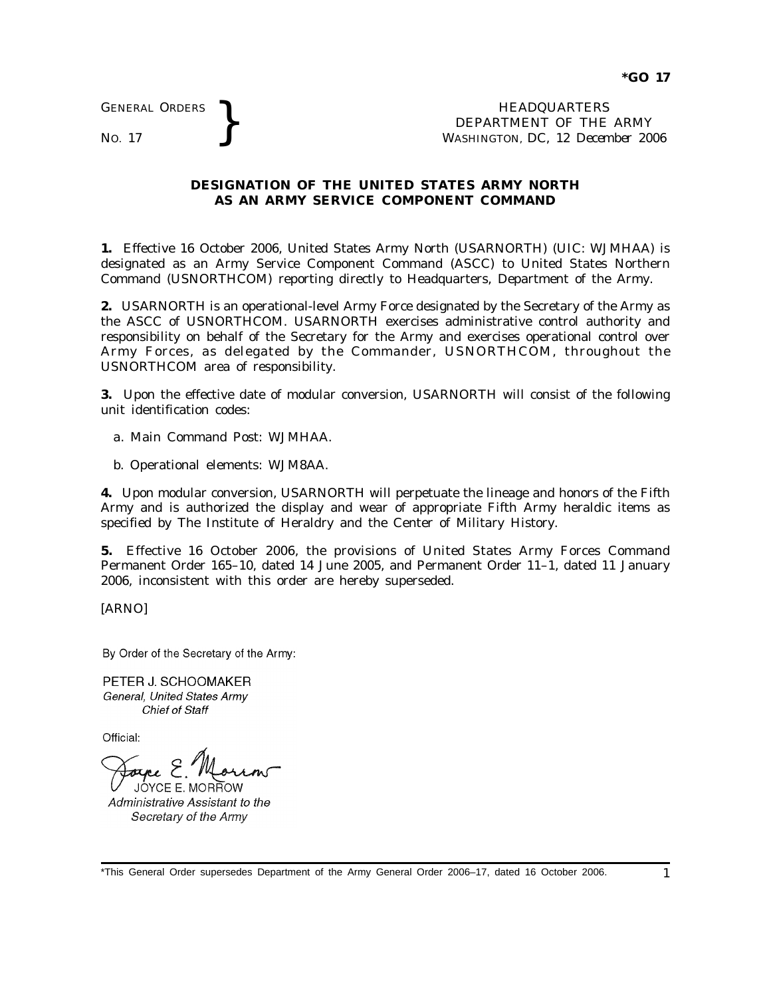GENERAL ORDERS

GENERAL ORDERS **BEAU ART AREA HEADQUARTERS**<br>No. 17 **BEPARTMENT** OF THE WASHINGTON, DC, 12 Decem DEPARTMENT OF THE ARMY WASHINGTON, DC, *12 December 2006*

## **DESIGNATION OF THE UNITED STATES ARMY NORTH AS AN ARMY SERVICE COMPONENT COMMAND**

**1.** Effective 16 October 2006, United States Army North (USARNORTH) (UIC: WJMHAA) is designated as an Army Service Component Command (ASCC) to United States Northern Command (USNORTHCOM) reporting directly to Headquarters, Department of the Army.

**2.** USARNORTH is an operational-level Army Force designated by the Secretary of the Army as the ASCC of USNORTHCOM. USARNORTH exercises administrative control authority and responsibility on behalf of the Secretary for the Army and exercises operational control over Army Forces, as delegated by the Commander, USNORTHCOM, throughout the USNORTHCOM area of responsibility.

**3.** Upon the effective date of modular conversion, USARNORTH will consist of the following unit identification codes:

- *a.* Main Command Post: WJMHAA.
- *b.* Operational elements: WJM8AA.

**4.** Upon modular conversion, USARNORTH will perpetuate the lineage and honors of the Fifth Army and is authorized the display and wear of appropriate Fifth Army heraldic items as specified by The Institute of Heraldry and the Center of Military History.

**5.** Effective 16 October 2006, the provisions of United States Army Forces Command Permanent Order 165–10, dated 14 June 2005, and Permanent Order 11–1, dated 11 January 2006, inconsistent with this order are hereby superseded.

[ARNO]

By Order of the Secretary of the Army:

PETER J. SCHOOMAKER General. United States Army Chief of Staff

Official:

JÓYCE E. MOR<del>I</del>TOW

Administrative Assistant to the Secretary of the Army